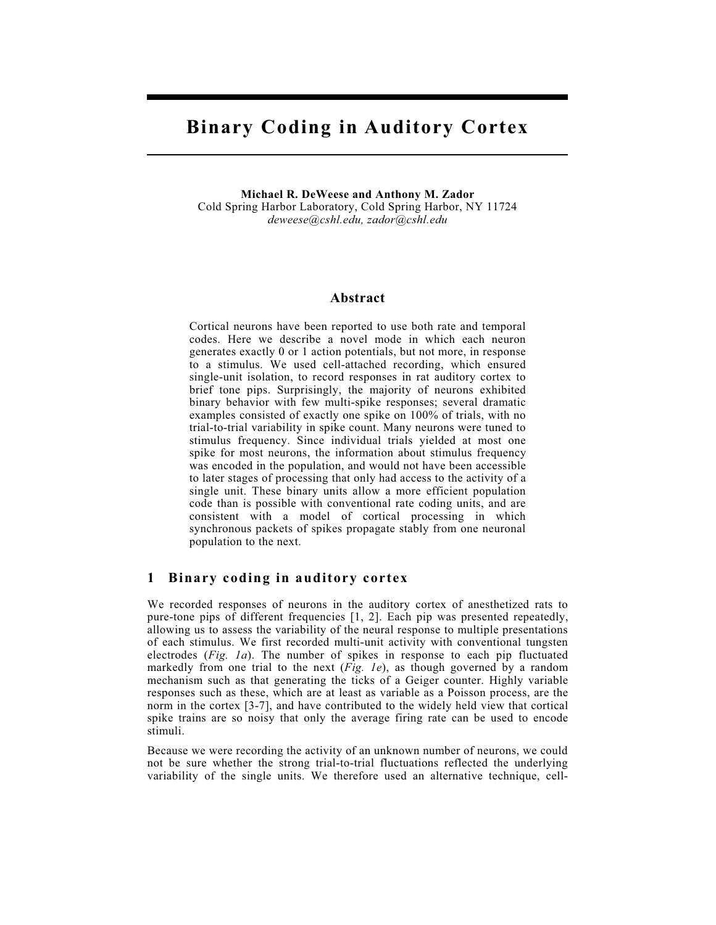# Binary Coding in Auditory Cortex

Michael R. DeWeese and Anthony M. Zador Cold Spring Harbor Laboratory, Cold Spring Harbor, NY 11724 deweese@cshl.edu, zador@cshl.edu

#### Abstract

Cortical neurons have been reported to use both rate and temporal codes. Here we describe a novel mode in which each neuron generates exactly 0 or 1 action potentials, but not more, in response to a stimulus. We used cell-attached recording, which ensured single-unit isolation, to record responses in rat auditory cortex to brief tone pips. Surprisingly, the majority of neurons exhibited binary behavior with few multi-spike responses; several dramatic examples consisted of exactly one spike on 100% of trials, with no trial-to-trial variability in spike count. Many neurons were tuned to stimulus frequency. Since individual trials yielded at most one spike for most neurons, the information about stimulus frequency was encoded in the population, and would not have been accessible to later stages of processing that only had access to the activity of a single unit. These binary units allow a more efficient population code than is possible with conventional rate coding units, and are consistent with a model of cortical processing in which synchronous packets of spikes propagate stably from one neuronal population to the next.

#### 1 Binary coding in auditory cortex

We recorded responses of neurons in the auditory cortex of anesthetized rats to pure-tone pips of different frequencies [1, 2]. Each pip was presented repeatedly, allowing us to assess the variability of the neural response to multiple presentations of each stimulus. We first recorded multi-unit activity with conventional tungsten electrodes (Fig. 1a). The number of spikes in response to each pip fluctuated markedly from one trial to the next  $(Fig. Ie)$ , as though governed by a random mechanism such as that generating the ticks of a Geiger counter. Highly variable responses such as these, which are at least as variable as a Poisson process, are the norm in the cortex [3-7], and have contributed to the widely held view that cortical spike trains are so noisy that only the average firing rate can be used to encode stimuli.

Because we were recording the activity of an unknown number of neurons, we could not be sure whether the strong trial-to-trial fluctuations reflected the underlying variability of the single units. We therefore used an alternative technique, cell-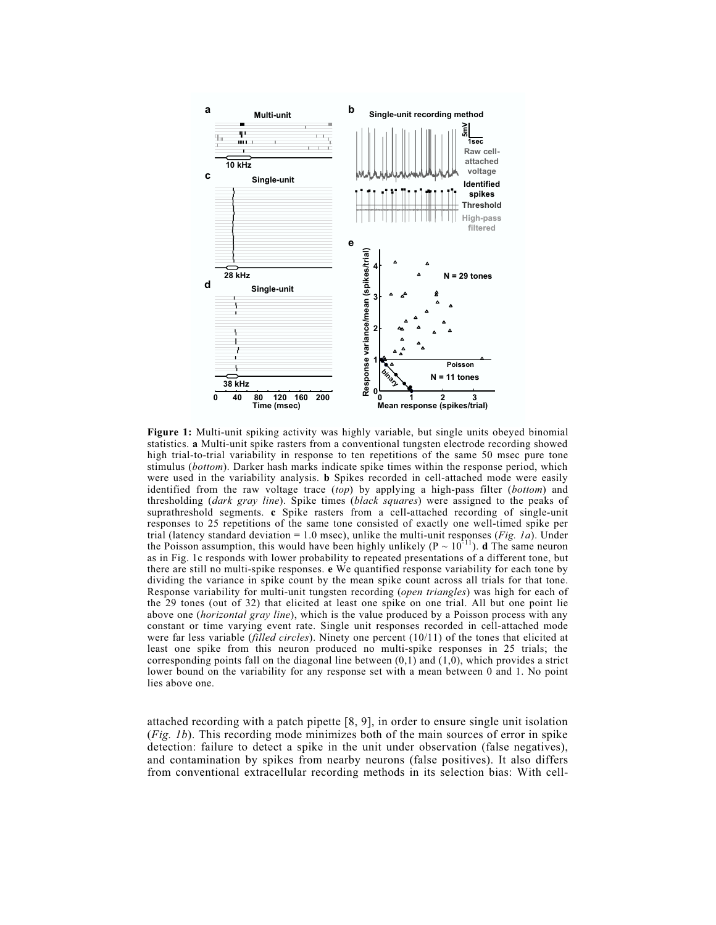

Figure 1: Multi-unit spiking activity was highly variable, but single units obeyed binomial statistics. a Multi-unit spike rasters from a conventional tungsten electrode recording showed high trial-to-trial variability in response to ten repetitions of the same 50 msec pure tone stimulus (bottom). Darker hash marks indicate spike times within the response period, which were used in the variability analysis. **b** Spikes recorded in cell-attached mode were easily identified from the raw voltage trace  $(top)$  by applying a high-pass filter (bottom) and thresholding (*dark gray line*). Spike times (*black squares*) were assigned to the peaks of suprathreshold segments. c Spike rasters from a cell-attached recording of single-unit responses to 25 repetitions of the same tone consisted of exactly one well-timed spike per trial (latency standard deviation = 1.0 msec), unlike the multi-unit responses (*Fig. 1a*). Under the Poisson assumption, this would have been highly unlikely ( $P \sim 10^{-11}$ ). d The same neuron as in Fig. 1c responds with lower probability to repeated presentations of a different tone, but there are still no multi-spike responses. e We quantified response variability for each tone by dividing the variance in spike count by the mean spike count across all trials for that tone. Response variability for multi-unit tungsten recording (open triangles) was high for each of the 29 tones (out of 32) that elicited at least one spike on one trial. All but one point lie above one (horizontal gray line), which is the value produced by a Poisson process with any constant or time varying event rate. Single unit responses recorded in cell-attached mode were far less variable (filled circles). Ninety one percent  $(10/11)$  of the tones that elicited at least one spike from this neuron produced no multi-spike responses in 25 trials; the corresponding points fall on the diagonal line between  $(0,1)$  and  $(1,0)$ , which provides a strict lower bound on the variability for any response set with a mean between 0 and 1. No point lies above one.

attached recording with a patch pipette [8, 9], in order to ensure single unit isolation  $(Fig. 1b)$ . This recording mode minimizes both of the main sources of error in spike detection: failure to detect a spike in the unit under observation (false negatives), and contamination by spikes from nearby neurons (false positives). It also differs from conventional extracellular recording methods in its selection bias: With cell-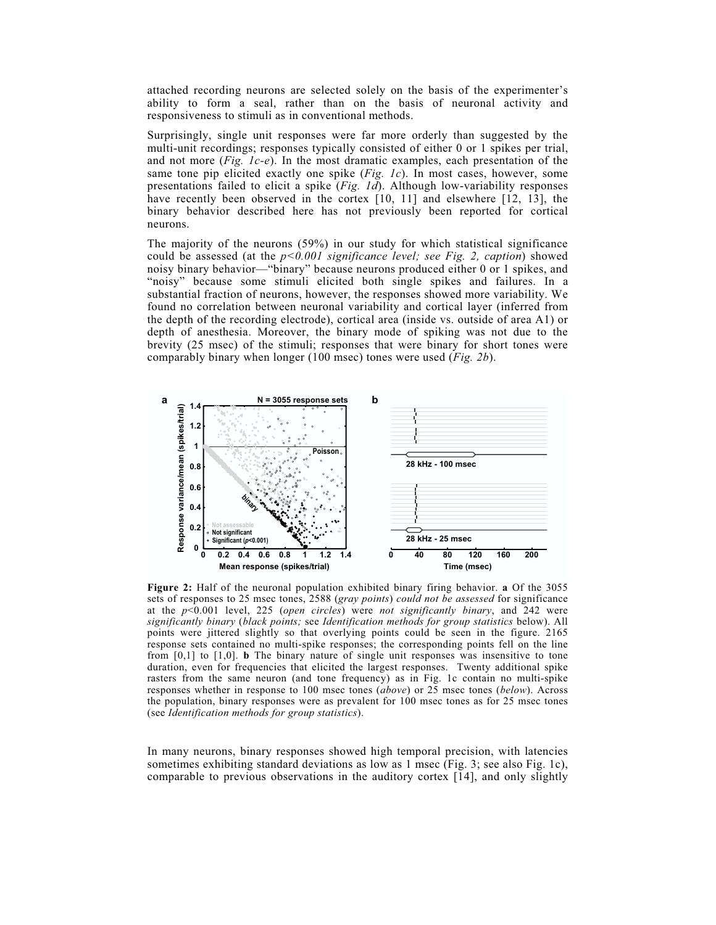attached recording neurons are selected solely on the basis of the experimenter's ability to form a seal, rather than on the basis of neuronal activity and responsiveness to stimuli as in conventional methods.

Surprisingly, single unit responses were far more orderly than suggested by the multi-unit recordings; responses typically consisted of either 0 or 1 spikes per trial, and not more  $(Fig, Ic-e)$ . In the most dramatic examples, each presentation of the same tone pip elicited exactly one spike (Fig. 1c). In most cases, however, some presentations failed to elicit a spike (Fig. 1d). Although low-variability responses have recently been observed in the cortex [10, 11] and elsewhere [12, 13], the binary behavior described here has not previously been reported for cortical neurons.

The majority of the neurons (59%) in our study for which statistical significance could be assessed (at the  $p<0.001$  significance level; see Fig. 2, caption) showed noisy binary behavior—"binary" because neurons produced either 0 or 1 spikes, and "noisy" because some stimuli elicited both single spikes and failures. In a substantial fraction of neurons, however, the responses showed more variability. We found no correlation between neuronal variability and cortical layer (inferred from the depth of the recording electrode), cortical area (inside vs. outside of area A1) or depth of anesthesia. Moreover, the binary mode of spiking was not due to the brevity (25 msec) of the stimuli; responses that were binary for short tones were comparably binary when longer (100 msec) tones were used (*Fig. 2b*).



Figure 2: Half of the neuronal population exhibited binary firing behavior. a Of the 3055 sets of responses to 25 msec tones, 2588 (gray points) could not be assessed for significance at the  $p<0.001$  level, 225 (open circles) were not significantly binary, and 242 were significantly binary (black points; see Identification methods for group statistics below). All points were jittered slightly so that overlying points could be seen in the figure. 2165 response sets contained no multi-spike responses; the corresponding points fell on the line from  $[0,1]$  to  $[1,0]$ . **b** The binary nature of single unit responses was insensitive to tone duration, even for frequencies that elicited the largest responses. Twenty additional spike rasters from the same neuron (and tone frequency) as in Fig. 1c contain no multi-spike responses whether in response to 100 msec tones (above) or 25 msec tones (below). Across the population, binary responses were as prevalent for 100 msec tones as for 25 msec tones (see Identification methods for group statistics).

In many neurons, binary responses showed high temporal precision, with latencies sometimes exhibiting standard deviations as low as 1 msec (Fig. 3; see also Fig. 1c), comparable to previous observations in the auditory cortex [14], and only slightly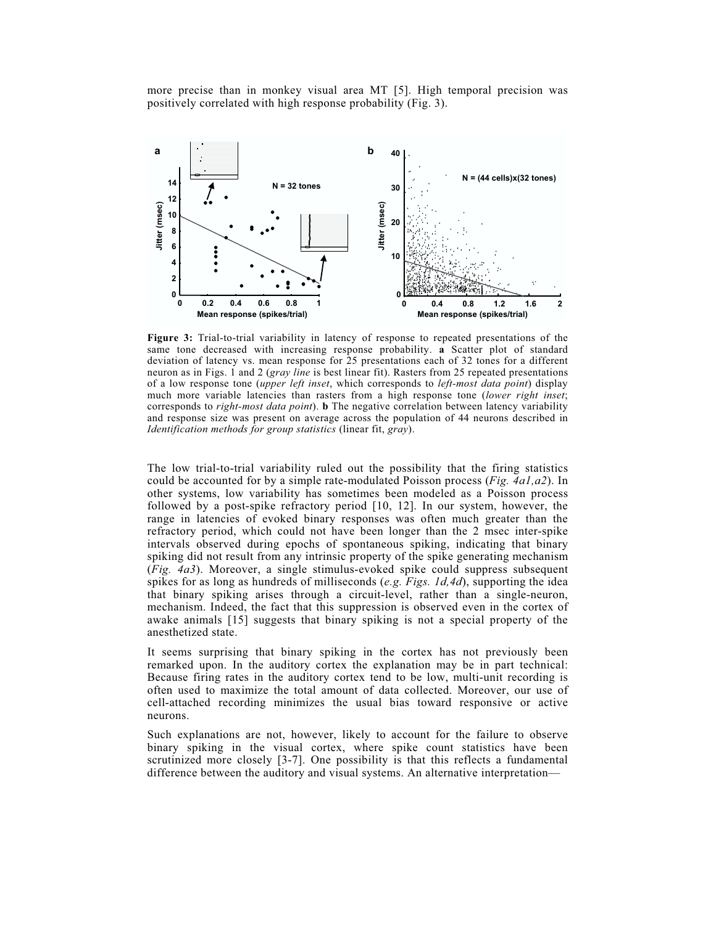more precise than in monkey visual area MT [5]. High temporal precision was positively correlated with high response probability (Fig. 3).



Figure 3: Trial-to-trial variability in latency of response to repeated presentations of the same tone decreased with increasing response probability. a Scatter plot of standard deviation of latency vs. mean response for 25 presentations each of 32 tones for a different neuron as in Figs. 1 and 2 (gray line is best linear fit). Rasters from 25 repeated presentations of a low response tone (upper left inset, which corresponds to left-most data point) display much more variable latencies than rasters from a high response tone (lower right inset; corresponds to *right-most data point*). **b** The negative correlation between latency variability and response size was present on average across the population of 44 neurons described in Identification methods for group statistics (linear fit, gray).

The low trial-to-trial variability ruled out the possibility that the firing statistics could be accounted for by a simple rate-modulated Poisson process (*Fig. 4a1,a2*). In other systems, low variability has sometimes been modeled as a Poisson process followed by a post-spike refractory period [10, 12]. In our system, however, the range in latencies of evoked binary responses was often much greater than the refractory period, which could not have been longer than the 2 msec inter-spike intervals observed during epochs of spontaneous spiking, indicating that binary spiking did not result from any intrinsic property of the spike generating mechanism (Fig. 4a3). Moreover, a single stimulus-evoked spike could suppress subsequent spikes for as long as hundreds of milliseconds (e.g. Figs. 1d,4d), supporting the idea that binary spiking arises through a circuit-level, rather than a single-neuron, mechanism. Indeed, the fact that this suppression is observed even in the cortex of awake animals [15] suggests that binary spiking is not a special property of the anesthetized state.

It seems surprising that binary spiking in the cortex has not previously been remarked upon. In the auditory cortex the explanation may be in part technical: Because firing rates in the auditory cortex tend to be low, multi-unit recording is often used to maximize the total amount of data collected. Moreover, our use of cell-attached recording minimizes the usual bias toward responsive or active neurons.

Such explanations are not, however, likely to account for the failure to observe binary spiking in the visual cortex, where spike count statistics have been scrutinized more closely [3-7]. One possibility is that this reflects a fundamental difference between the auditory and visual systems. An alternative interpretation—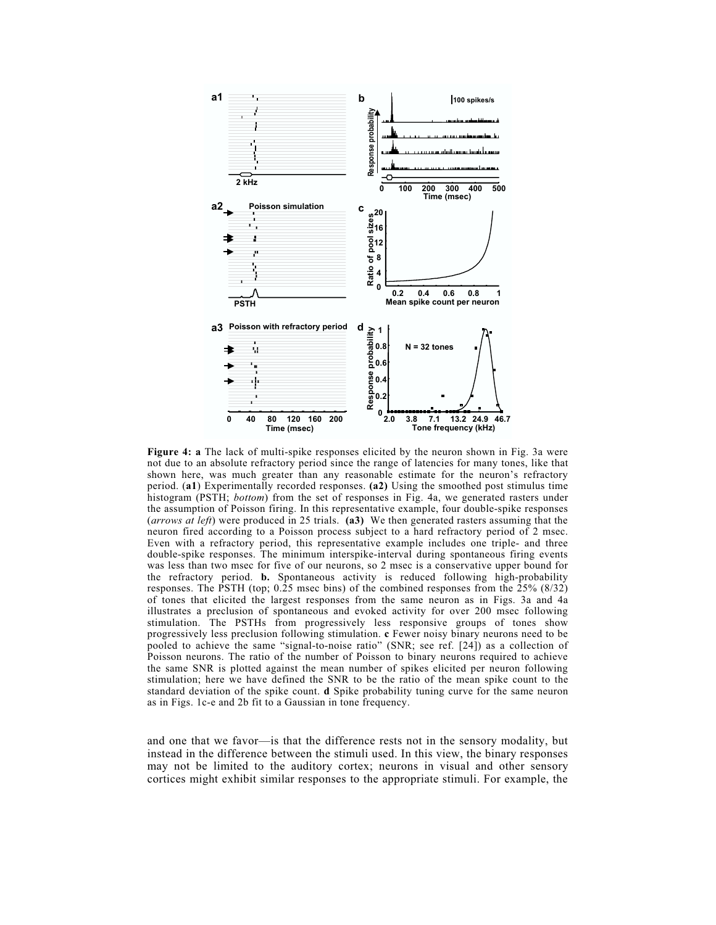

Figure 4: a The lack of multi-spike responses elicited by the neuron shown in Fig. 3a were not due to an absolute refractory period since the range of latencies for many tones, like that shown here, was much greater than any reasonable estimate for the neuron's refractory period. (a1) Experimentally recorded responses. (a2) Using the smoothed post stimulus time histogram (PSTH; *bottom*) from the set of responses in Fig. 4a, we generated rasters under the assumption of Poisson firing. In this representative example, four double-spike responses (arrows at left) were produced in 25 trials. (a3) We then generated rasters assuming that the neuron fired according to a Poisson process subject to a hard refractory period of 2 msec. Even with a refractory period, this representative example includes one triple- and three double-spike responses. The minimum interspike-interval during spontaneous firing events was less than two msec for five of our neurons, so 2 msec is a conservative upper bound for the refractory period. b. Spontaneous activity is reduced following high-probability responses. The PSTH (top; 0.25 msec bins) of the combined responses from the 25% (8/32) of tones that elicited the largest responses from the same neuron as in Figs. 3a and 4a illustrates a preclusion of spontaneous and evoked activity for over 200 msec following stimulation. The PSTHs from progressively less responsive groups of tones show progressively less preclusion following stimulation. c Fewer noisy binary neurons need to be pooled to achieve the same "signal-to-noise ratio" (SNR; see ref. [24]) as a collection of Poisson neurons. The ratio of the number of Poisson to binary neurons required to achieve the same SNR is plotted against the mean number of spikes elicited per neuron following stimulation; here we have defined the SNR to be the ratio of the mean spike count to the standard deviation of the spike count. d Spike probability tuning curve for the same neuron as in Figs. 1c-e and 2b fit to a Gaussian in tone frequency.

and one that we favor—is that the difference rests not in the sensory modality, but instead in the difference between the stimuli used. In this view, the binary responses may not be limited to the auditory cortex; neurons in visual and other sensory cortices might exhibit similar responses to the appropriate stimuli. For example, the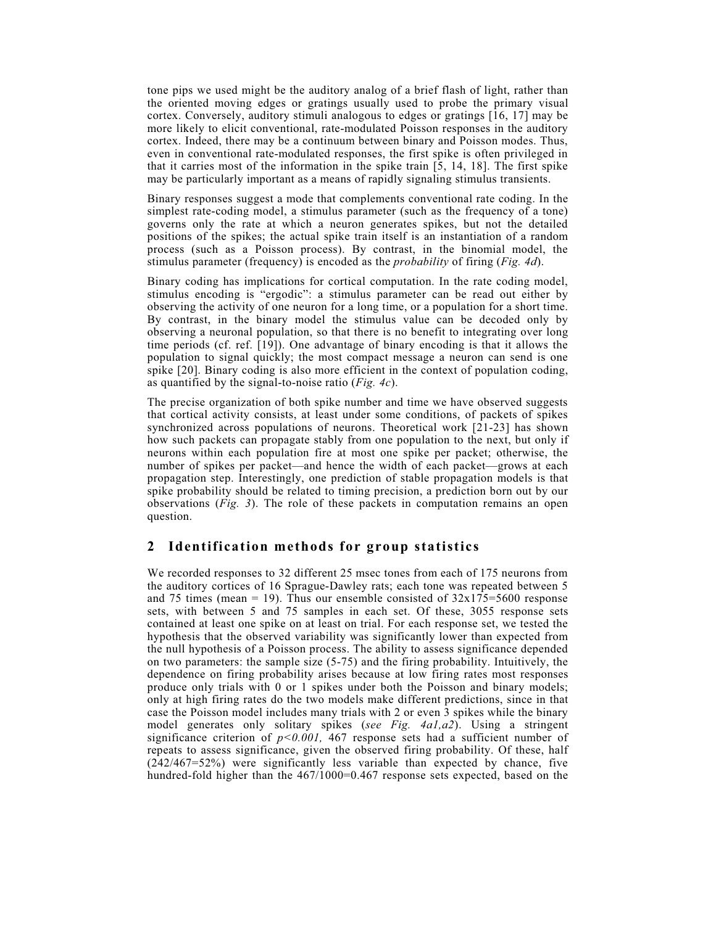tone pips we used might be the auditory analog of a brief flash of light, rather than the oriented moving edges or gratings usually used to probe the primary visual cortex. Conversely, auditory stimuli analogous to edges or gratings [16, 17] may be more likely to elicit conventional, rate-modulated Poisson responses in the auditory cortex. Indeed, there may be a continuum between binary and Poisson modes. Thus, even in conventional rate-modulated responses, the first spike is often privileged in that it carries most of the information in the spike train [5, 14, 18]. The first spike may be particularly important as a means of rapidly signaling stimulus transients.

Binary responses suggest a mode that complements conventional rate coding. In the simplest rate-coding model, a stimulus parameter (such as the frequency of a tone) governs only the rate at which a neuron generates spikes, but not the detailed positions of the spikes; the actual spike train itself is an instantiation of a random process (such as a Poisson process). By contrast, in the binomial model, the stimulus parameter (frequency) is encoded as the *probability* of firing (*Fig. 4d*).

Binary coding has implications for cortical computation. In the rate coding model, stimulus encoding is "ergodic": a stimulus parameter can be read out either by observing the activity of one neuron for a long time, or a population for a short time. By contrast, in the binary model the stimulus value can be decoded only by observing a neuronal population, so that there is no benefit to integrating over long time periods (cf. ref. [19]). One advantage of binary encoding is that it allows the population to signal quickly; the most compact message a neuron can send is one spike [20]. Binary coding is also more efficient in the context of population coding, as quantified by the signal-to-noise ratio (*Fig. 4c*).

The precise organization of both spike number and time we have observed suggests that cortical activity consists, at least under some conditions, of packets of spikes synchronized across populations of neurons. Theoretical work [21-23] has shown how such packets can propagate stably from one population to the next, but only if neurons within each population fire at most one spike per packet; otherwise, the number of spikes per packet—and hence the width of each packet—grows at each propagation step. Interestingly, one prediction of stable propagation models is that spike probability should be related to timing precision, a prediction born out by our observations (Fig. 3). The role of these packets in computation remains an open question.

## 2 Identification methods for group statistics

We recorded responses to 32 different 25 msec tones from each of 175 neurons from the auditory cortices of 16 Sprague-Dawley rats; each tone was repeated between 5 and 75 times (mean = 19). Thus our ensemble consisted of  $32x175=5600$  response sets, with between 5 and 75 samples in each set. Of these, 3055 response sets contained at least one spike on at least on trial. For each response set, we tested the hypothesis that the observed variability was significantly lower than expected from the null hypothesis of a Poisson process. The ability to assess significance depended on two parameters: the sample size (5-75) and the firing probability. Intuitively, the dependence on firing probability arises because at low firing rates most responses produce only trials with 0 or 1 spikes under both the Poisson and binary models; only at high firing rates do the two models make different predictions, since in that case the Poisson model includes many trials with 2 or even 3 spikes while the binary model generates only solitary spikes (see Fig. 4a1,a2). Using a stringent significance criterion of  $p<0.001$ , 467 response sets had a sufficient number of repeats to assess significance, given the observed firing probability. Of these, half (242/467=52%) were significantly less variable than expected by chance, five hundred-fold higher than the 467/1000=0.467 response sets expected, based on the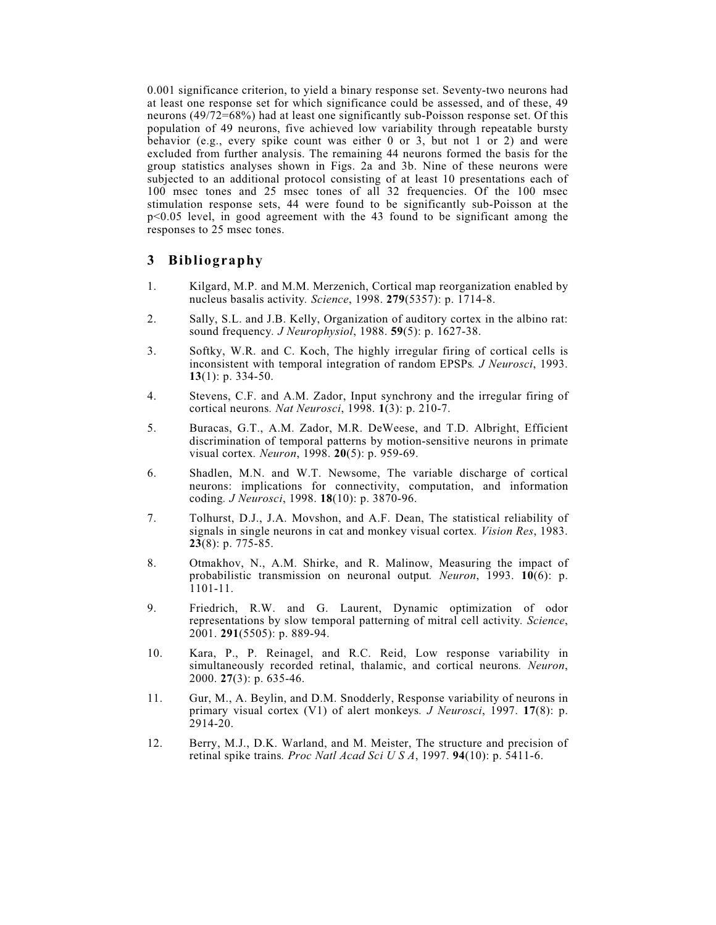0.001 significance criterion, to yield a binary response set. Seventy-two neurons had at least one response set for which significance could be assessed, and of these, 49 neurons (49/72=68%) had at least one significantly sub-Poisson response set. Of this population of 49 neurons, five achieved low variability through repeatable bursty behavior (e.g., every spike count was either 0 or 3, but not 1 or 2) and were excluded from further analysis. The remaining 44 neurons formed the basis for the group statistics analyses shown in Figs. 2a and 3b. Nine of these neurons were subjected to an additional protocol consisting of at least 10 presentations each of 100 msec tones and 25 msec tones of all 32 frequencies. Of the 100 msec stimulation response sets, 44 were found to be significantly sub-Poisson at the p<0.05 level, in good agreement with the 43 found to be significant among the responses to 25 msec tones.

### 3 Bibliography

- 1. Kilgard, M.P. and M.M. Merzenich, Cortical map reorganization enabled by nucleus basalis activity. Science, 1998. 279(5357): p. 1714-8.
- 2. Sally, S.L. and J.B. Kelly, Organization of auditory cortex in the albino rat: sound frequency. *J Neurophysiol*, 1988. 59(5): p. 1627-38.
- 3. Softky, W.R. and C. Koch, The highly irregular firing of cortical cells is inconsistent with temporal integration of random EPSPs. J Neurosci, 1993. 13(1): p. 334-50.
- 4. Stevens, C.F. and A.M. Zador, Input synchrony and the irregular firing of cortical neurons. Nat Neurosci, 1998. 1(3): p. 210-7.
- 5. Buracas, G.T., A.M. Zador, M.R. DeWeese, and T.D. Albright, Efficient discrimination of temporal patterns by motion-sensitive neurons in primate visual cortex. Neuron, 1998. 20(5): p. 959-69.
- 6. Shadlen, M.N. and W.T. Newsome, The variable discharge of cortical neurons: implications for connectivity, computation, and information coding. J Neurosci, 1998. 18(10): p. 3870-96.
- 7. Tolhurst, D.J., J.A. Movshon, and A.F. Dean, The statistical reliability of signals in single neurons in cat and monkey visual cortex. Vision Res, 1983. 23(8): p. 775-85.
- 8. Otmakhov, N., A.M. Shirke, and R. Malinow, Measuring the impact of probabilistic transmission on neuronal output. Neuron, 1993. 10(6): p. 1101-11.
- 9. Friedrich, R.W. and G. Laurent, Dynamic optimization of odor representations by slow temporal patterning of mitral cell activity. Science, 2001. 291(5505): p. 889-94.
- 10. Kara, P., P. Reinagel, and R.C. Reid, Low response variability in simultaneously recorded retinal, thalamic, and cortical neurons. Neuron, 2000. 27(3): p. 635-46.
- 11. Gur, M., A. Beylin, and D.M. Snodderly, Response variability of neurons in primary visual cortex (V1) of alert monkeys. *J Neurosci*, 1997. 17(8): p. 2914-20.
- 12. Berry, M.J., D.K. Warland, and M. Meister, The structure and precision of retinal spike trains. *Proc Natl Acad Sci U S A*, 1997. **94**(10): p. 5411-6.